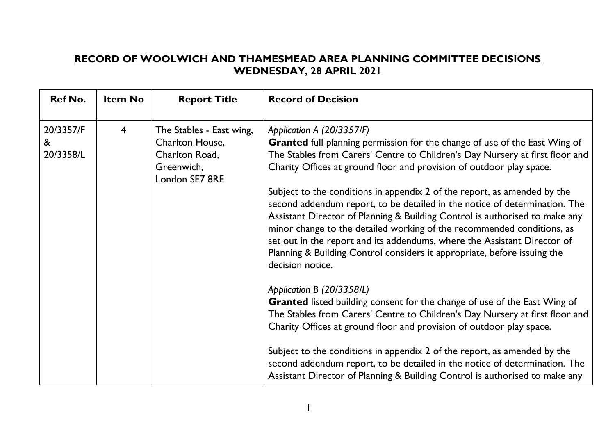## **RECORD OF WOOLWICH AND THAMESMEAD AREA PLANNING COMMITTEE DECISIONS WEDNESDAY, 28 APRIL 2021**

| <b>Ref No.</b>              | <b>Item No</b> | <b>Report Title</b>                                                                           | <b>Record of Decision</b>                                                                                                                                                                                                                                                                                                                                                                                                                                                                   |
|-----------------------------|----------------|-----------------------------------------------------------------------------------------------|---------------------------------------------------------------------------------------------------------------------------------------------------------------------------------------------------------------------------------------------------------------------------------------------------------------------------------------------------------------------------------------------------------------------------------------------------------------------------------------------|
| 20/3357/F<br>&<br>20/3358/L | $\overline{4}$ | The Stables - East wing,<br>Charlton House,<br>Charlton Road,<br>Greenwich,<br>London SE7 8RE | Application A (20/3357/F)<br><b>Granted</b> full planning permission for the change of use of the East Wing of<br>The Stables from Carers' Centre to Children's Day Nursery at first floor and<br>Charity Offices at ground floor and provision of outdoor play space.                                                                                                                                                                                                                      |
|                             |                |                                                                                               | Subject to the conditions in appendix 2 of the report, as amended by the<br>second addendum report, to be detailed in the notice of determination. The<br>Assistant Director of Planning & Building Control is authorised to make any<br>minor change to the detailed working of the recommended conditions, as<br>set out in the report and its addendums, where the Assistant Director of<br>Planning & Building Control considers it appropriate, before issuing the<br>decision notice. |
|                             |                |                                                                                               | Application B (20/3358/L)<br>Granted listed building consent for the change of use of the East Wing of<br>The Stables from Carers' Centre to Children's Day Nursery at first floor and<br>Charity Offices at ground floor and provision of outdoor play space.                                                                                                                                                                                                                              |
|                             |                |                                                                                               | Subject to the conditions in appendix 2 of the report, as amended by the<br>second addendum report, to be detailed in the notice of determination. The<br>Assistant Director of Planning & Building Control is authorised to make any                                                                                                                                                                                                                                                       |